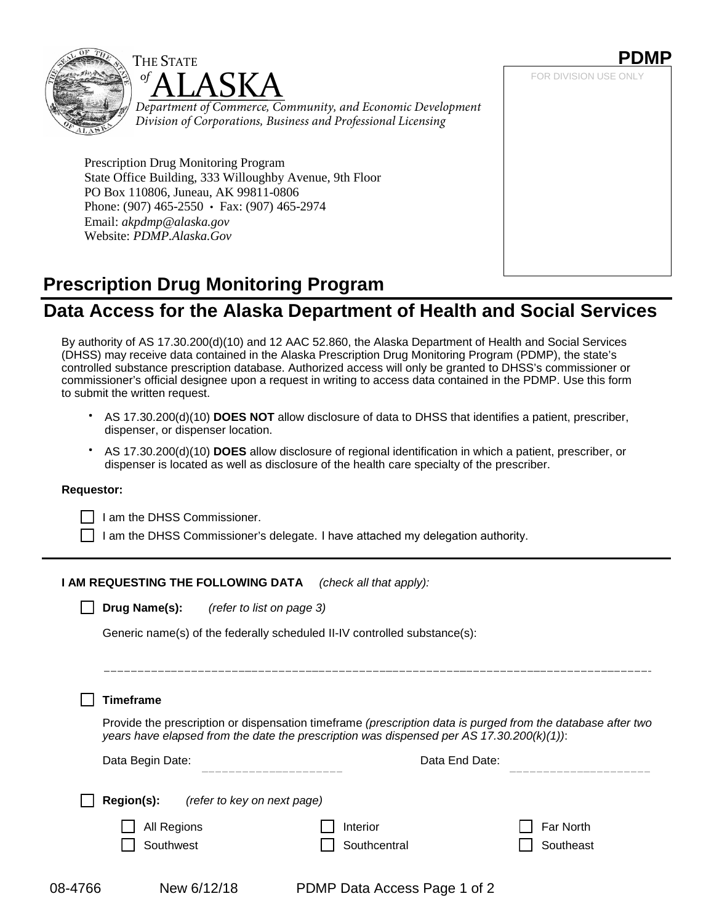



*Department of Commerce, Community, and Economic Development Division of Corporations, Business and Professional Licensing*

Prescription Drug Monitoring Program State Office Building, 333 Willoughby Avenue, 9th Floor PO Box 110806, Juneau, AK 99811-0806 Phone: (907) 465-2550 • Fax: (907) 465-2974 Email: *[akpdmp@alaska.gov](mailto:akpdmp@alaska.gov)* Website: *[PDMP.Alaska.Gov](http://pdmp.alaska.gov/)*

# **PDMP** FOR DIVISION USE ONLY

# **Prescription Drug Monitoring Program**

## **Data Access for the Alaska Department of Health and Social Services**

By authority of AS 17.30.200(d)(10) and 12 AAC 52.860, the Alaska Department of Health and Social Services (DHSS) may receive data contained in the Alaska Prescription Drug Monitoring Program (PDMP), the state's controlled substance prescription database. Authorized access will only be granted to DHSS's commissioner or commissioner's official designee upon a request in writing to access data contained in the PDMP. Use this form to submit the written request.

- AS 17.30.200(d)(10) **DOES NOT** allow disclosure of data to DHSS that identifies a patient, prescriber, dispenser, or dispenser location.
- AS 17.30.200(d)(10) **DOES** allow disclosure of regional identification in which a patient, prescriber, or dispenser is located as well as disclosure of the health care specialty of the prescriber.

#### **Requestor:**

| | I am the DHSS Commissioner.

I am the DHSS Commissioner's delegate. I have attached my delegation authority.

#### **I AM REQUESTING THE FOLLOWING DATA** *(check all that apply):*

**Drug Name(s):** *(refer to list on page 3)*

Generic name(s) of the federally scheduled II-IV controlled substance(s):

08-4766 New 6/12/18 PDMP Data Access Page 1 of 2 **Timeframe** Provide the prescription or dispensation timeframe *(prescription data is purged from the database after two years have elapsed from the date the prescription was dispensed per AS 17.30.200(k)(1))*: Data Begin Date: **Data End Date: Data End Date: Data End Date: Region(s):** *(refer to key on next page)* All Regions **Interior Interior** Far North Southwest Southcentral Southcentral Southeast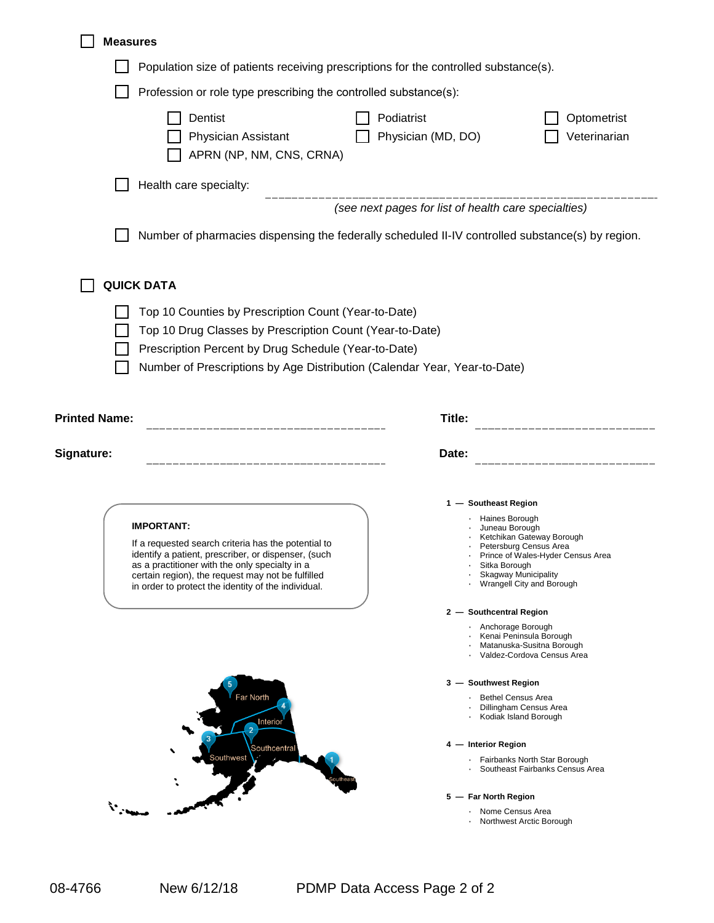| <b>Measures</b>                                                                                                                                                                                                                                                                               |                                                                                                                                                                                                                                                                                                                                                                               |
|-----------------------------------------------------------------------------------------------------------------------------------------------------------------------------------------------------------------------------------------------------------------------------------------------|-------------------------------------------------------------------------------------------------------------------------------------------------------------------------------------------------------------------------------------------------------------------------------------------------------------------------------------------------------------------------------|
| Population size of patients receiving prescriptions for the controlled substance(s).                                                                                                                                                                                                          |                                                                                                                                                                                                                                                                                                                                                                               |
| Profession or role type prescribing the controlled substance(s):                                                                                                                                                                                                                              |                                                                                                                                                                                                                                                                                                                                                                               |
| Dentist<br>Physician Assistant<br>APRN (NP, NM, CNS, CRNA)                                                                                                                                                                                                                                    | Podiatrist<br>Optometrist<br>Physician (MD, DO)<br>Veterinarian                                                                                                                                                                                                                                                                                                               |
| Health care specialty:                                                                                                                                                                                                                                                                        |                                                                                                                                                                                                                                                                                                                                                                               |
|                                                                                                                                                                                                                                                                                               | __________________<br>(see next pages for list of health care specialties)                                                                                                                                                                                                                                                                                                    |
|                                                                                                                                                                                                                                                                                               | Number of pharmacies dispensing the federally scheduled II-IV controlled substance(s) by region.                                                                                                                                                                                                                                                                              |
| <b>QUICK DATA</b>                                                                                                                                                                                                                                                                             |                                                                                                                                                                                                                                                                                                                                                                               |
| Top 10 Counties by Prescription Count (Year-to-Date)<br>Top 10 Drug Classes by Prescription Count (Year-to-Date)<br>Prescription Percent by Drug Schedule (Year-to-Date)<br>Number of Prescriptions by Age Distribution (Calendar Year, Year-to-Date)<br><b>Printed Name:</b>                 | Title:<br>_____________________________                                                                                                                                                                                                                                                                                                                                       |
| Signature:                                                                                                                                                                                                                                                                                    | Date:                                                                                                                                                                                                                                                                                                                                                                         |
| <b>IMPORTANT:</b><br>If a requested search criteria has the potential to<br>identify a patient, prescriber, or dispenser, (such<br>as a practitioner with the only specialty in a<br>certain region), the request may not be fulfilled<br>in order to protect the identity of the individual. | 1 - Southeast Region<br>Haines Borough<br>Juneau Borough<br>Ketchikan Gateway Borough<br>Petersburg Census Area<br>Prince of Wales-Hyder Census Area<br>Sitka Borough<br><b>Skagway Municipality</b><br>Wrangell City and Borough<br>2 - Southcentral Region<br>· Anchorage Borough<br>· Kenai Peninsula Borough<br>· Matanuska-Susitna Borough<br>Valdez-Cordova Census Area |
| Far North<br>Interior<br>Southcentral<br>Southwest                                                                                                                                                                                                                                            | 3 - Southwest Region<br><b>Bethel Census Area</b><br>Dillingham Census Area<br>· Kodiak Island Borough<br>4 - Interior Region                                                                                                                                                                                                                                                 |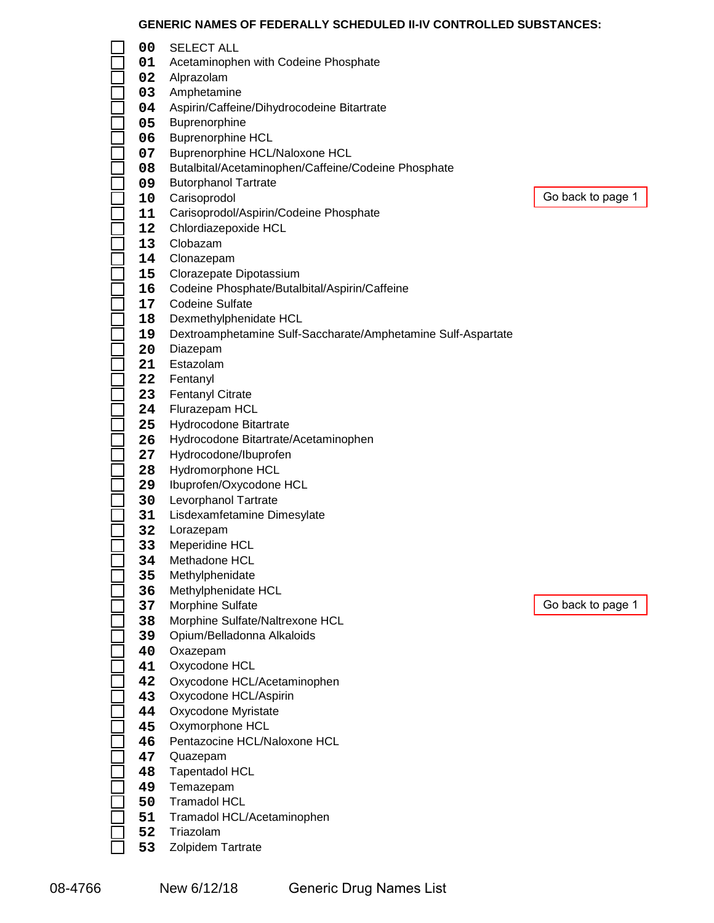# **GENERIC NAMES OF FEDERALLY SCHEDULED II-IV CONTROLLED SUBSTANCES:**

|    | GENERIC NAMES OF FEDERALLY SCHEDULED II-IV CONTROLLED SUBS                                                                                                                                                                                                                  |                                                                                                                                                                                                                                                                                                                                                                                                                                                                                                                                                                                                                                                                                                                                                                                                                                                                                                                                                                                                                                                                                                                                                                                                                                  |
|----|-----------------------------------------------------------------------------------------------------------------------------------------------------------------------------------------------------------------------------------------------------------------------------|----------------------------------------------------------------------------------------------------------------------------------------------------------------------------------------------------------------------------------------------------------------------------------------------------------------------------------------------------------------------------------------------------------------------------------------------------------------------------------------------------------------------------------------------------------------------------------------------------------------------------------------------------------------------------------------------------------------------------------------------------------------------------------------------------------------------------------------------------------------------------------------------------------------------------------------------------------------------------------------------------------------------------------------------------------------------------------------------------------------------------------------------------------------------------------------------------------------------------------|
| 00 | <b>SELECT ALL</b>                                                                                                                                                                                                                                                           |                                                                                                                                                                                                                                                                                                                                                                                                                                                                                                                                                                                                                                                                                                                                                                                                                                                                                                                                                                                                                                                                                                                                                                                                                                  |
| 01 |                                                                                                                                                                                                                                                                             |                                                                                                                                                                                                                                                                                                                                                                                                                                                                                                                                                                                                                                                                                                                                                                                                                                                                                                                                                                                                                                                                                                                                                                                                                                  |
| 02 |                                                                                                                                                                                                                                                                             |                                                                                                                                                                                                                                                                                                                                                                                                                                                                                                                                                                                                                                                                                                                                                                                                                                                                                                                                                                                                                                                                                                                                                                                                                                  |
|    |                                                                                                                                                                                                                                                                             |                                                                                                                                                                                                                                                                                                                                                                                                                                                                                                                                                                                                                                                                                                                                                                                                                                                                                                                                                                                                                                                                                                                                                                                                                                  |
|    |                                                                                                                                                                                                                                                                             |                                                                                                                                                                                                                                                                                                                                                                                                                                                                                                                                                                                                                                                                                                                                                                                                                                                                                                                                                                                                                                                                                                                                                                                                                                  |
|    |                                                                                                                                                                                                                                                                             |                                                                                                                                                                                                                                                                                                                                                                                                                                                                                                                                                                                                                                                                                                                                                                                                                                                                                                                                                                                                                                                                                                                                                                                                                                  |
|    |                                                                                                                                                                                                                                                                             |                                                                                                                                                                                                                                                                                                                                                                                                                                                                                                                                                                                                                                                                                                                                                                                                                                                                                                                                                                                                                                                                                                                                                                                                                                  |
|    |                                                                                                                                                                                                                                                                             |                                                                                                                                                                                                                                                                                                                                                                                                                                                                                                                                                                                                                                                                                                                                                                                                                                                                                                                                                                                                                                                                                                                                                                                                                                  |
|    |                                                                                                                                                                                                                                                                             |                                                                                                                                                                                                                                                                                                                                                                                                                                                                                                                                                                                                                                                                                                                                                                                                                                                                                                                                                                                                                                                                                                                                                                                                                                  |
|    |                                                                                                                                                                                                                                                                             |                                                                                                                                                                                                                                                                                                                                                                                                                                                                                                                                                                                                                                                                                                                                                                                                                                                                                                                                                                                                                                                                                                                                                                                                                                  |
|    |                                                                                                                                                                                                                                                                             | G                                                                                                                                                                                                                                                                                                                                                                                                                                                                                                                                                                                                                                                                                                                                                                                                                                                                                                                                                                                                                                                                                                                                                                                                                                |
|    |                                                                                                                                                                                                                                                                             |                                                                                                                                                                                                                                                                                                                                                                                                                                                                                                                                                                                                                                                                                                                                                                                                                                                                                                                                                                                                                                                                                                                                                                                                                                  |
|    |                                                                                                                                                                                                                                                                             |                                                                                                                                                                                                                                                                                                                                                                                                                                                                                                                                                                                                                                                                                                                                                                                                                                                                                                                                                                                                                                                                                                                                                                                                                                  |
|    |                                                                                                                                                                                                                                                                             |                                                                                                                                                                                                                                                                                                                                                                                                                                                                                                                                                                                                                                                                                                                                                                                                                                                                                                                                                                                                                                                                                                                                                                                                                                  |
|    |                                                                                                                                                                                                                                                                             |                                                                                                                                                                                                                                                                                                                                                                                                                                                                                                                                                                                                                                                                                                                                                                                                                                                                                                                                                                                                                                                                                                                                                                                                                                  |
|    |                                                                                                                                                                                                                                                                             |                                                                                                                                                                                                                                                                                                                                                                                                                                                                                                                                                                                                                                                                                                                                                                                                                                                                                                                                                                                                                                                                                                                                                                                                                                  |
|    |                                                                                                                                                                                                                                                                             |                                                                                                                                                                                                                                                                                                                                                                                                                                                                                                                                                                                                                                                                                                                                                                                                                                                                                                                                                                                                                                                                                                                                                                                                                                  |
|    |                                                                                                                                                                                                                                                                             |                                                                                                                                                                                                                                                                                                                                                                                                                                                                                                                                                                                                                                                                                                                                                                                                                                                                                                                                                                                                                                                                                                                                                                                                                                  |
|    |                                                                                                                                                                                                                                                                             |                                                                                                                                                                                                                                                                                                                                                                                                                                                                                                                                                                                                                                                                                                                                                                                                                                                                                                                                                                                                                                                                                                                                                                                                                                  |
|    |                                                                                                                                                                                                                                                                             |                                                                                                                                                                                                                                                                                                                                                                                                                                                                                                                                                                                                                                                                                                                                                                                                                                                                                                                                                                                                                                                                                                                                                                                                                                  |
|    |                                                                                                                                                                                                                                                                             |                                                                                                                                                                                                                                                                                                                                                                                                                                                                                                                                                                                                                                                                                                                                                                                                                                                                                                                                                                                                                                                                                                                                                                                                                                  |
|    |                                                                                                                                                                                                                                                                             |                                                                                                                                                                                                                                                                                                                                                                                                                                                                                                                                                                                                                                                                                                                                                                                                                                                                                                                                                                                                                                                                                                                                                                                                                                  |
|    |                                                                                                                                                                                                                                                                             |                                                                                                                                                                                                                                                                                                                                                                                                                                                                                                                                                                                                                                                                                                                                                                                                                                                                                                                                                                                                                                                                                                                                                                                                                                  |
|    |                                                                                                                                                                                                                                                                             |                                                                                                                                                                                                                                                                                                                                                                                                                                                                                                                                                                                                                                                                                                                                                                                                                                                                                                                                                                                                                                                                                                                                                                                                                                  |
|    |                                                                                                                                                                                                                                                                             |                                                                                                                                                                                                                                                                                                                                                                                                                                                                                                                                                                                                                                                                                                                                                                                                                                                                                                                                                                                                                                                                                                                                                                                                                                  |
|    |                                                                                                                                                                                                                                                                             |                                                                                                                                                                                                                                                                                                                                                                                                                                                                                                                                                                                                                                                                                                                                                                                                                                                                                                                                                                                                                                                                                                                                                                                                                                  |
|    |                                                                                                                                                                                                                                                                             |                                                                                                                                                                                                                                                                                                                                                                                                                                                                                                                                                                                                                                                                                                                                                                                                                                                                                                                                                                                                                                                                                                                                                                                                                                  |
|    |                                                                                                                                                                                                                                                                             |                                                                                                                                                                                                                                                                                                                                                                                                                                                                                                                                                                                                                                                                                                                                                                                                                                                                                                                                                                                                                                                                                                                                                                                                                                  |
|    |                                                                                                                                                                                                                                                                             |                                                                                                                                                                                                                                                                                                                                                                                                                                                                                                                                                                                                                                                                                                                                                                                                                                                                                                                                                                                                                                                                                                                                                                                                                                  |
|    |                                                                                                                                                                                                                                                                             |                                                                                                                                                                                                                                                                                                                                                                                                                                                                                                                                                                                                                                                                                                                                                                                                                                                                                                                                                                                                                                                                                                                                                                                                                                  |
|    |                                                                                                                                                                                                                                                                             |                                                                                                                                                                                                                                                                                                                                                                                                                                                                                                                                                                                                                                                                                                                                                                                                                                                                                                                                                                                                                                                                                                                                                                                                                                  |
|    |                                                                                                                                                                                                                                                                             |                                                                                                                                                                                                                                                                                                                                                                                                                                                                                                                                                                                                                                                                                                                                                                                                                                                                                                                                                                                                                                                                                                                                                                                                                                  |
|    |                                                                                                                                                                                                                                                                             |                                                                                                                                                                                                                                                                                                                                                                                                                                                                                                                                                                                                                                                                                                                                                                                                                                                                                                                                                                                                                                                                                                                                                                                                                                  |
|    |                                                                                                                                                                                                                                                                             |                                                                                                                                                                                                                                                                                                                                                                                                                                                                                                                                                                                                                                                                                                                                                                                                                                                                                                                                                                                                                                                                                                                                                                                                                                  |
|    |                                                                                                                                                                                                                                                                             |                                                                                                                                                                                                                                                                                                                                                                                                                                                                                                                                                                                                                                                                                                                                                                                                                                                                                                                                                                                                                                                                                                                                                                                                                                  |
|    |                                                                                                                                                                                                                                                                             |                                                                                                                                                                                                                                                                                                                                                                                                                                                                                                                                                                                                                                                                                                                                                                                                                                                                                                                                                                                                                                                                                                                                                                                                                                  |
|    |                                                                                                                                                                                                                                                                             |                                                                                                                                                                                                                                                                                                                                                                                                                                                                                                                                                                                                                                                                                                                                                                                                                                                                                                                                                                                                                                                                                                                                                                                                                                  |
|    |                                                                                                                                                                                                                                                                             | G                                                                                                                                                                                                                                                                                                                                                                                                                                                                                                                                                                                                                                                                                                                                                                                                                                                                                                                                                                                                                                                                                                                                                                                                                                |
|    |                                                                                                                                                                                                                                                                             |                                                                                                                                                                                                                                                                                                                                                                                                                                                                                                                                                                                                                                                                                                                                                                                                                                                                                                                                                                                                                                                                                                                                                                                                                                  |
|    |                                                                                                                                                                                                                                                                             |                                                                                                                                                                                                                                                                                                                                                                                                                                                                                                                                                                                                                                                                                                                                                                                                                                                                                                                                                                                                                                                                                                                                                                                                                                  |
|    |                                                                                                                                                                                                                                                                             |                                                                                                                                                                                                                                                                                                                                                                                                                                                                                                                                                                                                                                                                                                                                                                                                                                                                                                                                                                                                                                                                                                                                                                                                                                  |
|    |                                                                                                                                                                                                                                                                             |                                                                                                                                                                                                                                                                                                                                                                                                                                                                                                                                                                                                                                                                                                                                                                                                                                                                                                                                                                                                                                                                                                                                                                                                                                  |
|    |                                                                                                                                                                                                                                                                             |                                                                                                                                                                                                                                                                                                                                                                                                                                                                                                                                                                                                                                                                                                                                                                                                                                                                                                                                                                                                                                                                                                                                                                                                                                  |
|    |                                                                                                                                                                                                                                                                             |                                                                                                                                                                                                                                                                                                                                                                                                                                                                                                                                                                                                                                                                                                                                                                                                                                                                                                                                                                                                                                                                                                                                                                                                                                  |
|    |                                                                                                                                                                                                                                                                             |                                                                                                                                                                                                                                                                                                                                                                                                                                                                                                                                                                                                                                                                                                                                                                                                                                                                                                                                                                                                                                                                                                                                                                                                                                  |
|    |                                                                                                                                                                                                                                                                             |                                                                                                                                                                                                                                                                                                                                                                                                                                                                                                                                                                                                                                                                                                                                                                                                                                                                                                                                                                                                                                                                                                                                                                                                                                  |
| 46 | Pentazocine HCL/Naloxone HCL                                                                                                                                                                                                                                                |                                                                                                                                                                                                                                                                                                                                                                                                                                                                                                                                                                                                                                                                                                                                                                                                                                                                                                                                                                                                                                                                                                                                                                                                                                  |
| 47 |                                                                                                                                                                                                                                                                             |                                                                                                                                                                                                                                                                                                                                                                                                                                                                                                                                                                                                                                                                                                                                                                                                                                                                                                                                                                                                                                                                                                                                                                                                                                  |
| 48 |                                                                                                                                                                                                                                                                             |                                                                                                                                                                                                                                                                                                                                                                                                                                                                                                                                                                                                                                                                                                                                                                                                                                                                                                                                                                                                                                                                                                                                                                                                                                  |
| 49 | Temazepam                                                                                                                                                                                                                                                                   |                                                                                                                                                                                                                                                                                                                                                                                                                                                                                                                                                                                                                                                                                                                                                                                                                                                                                                                                                                                                                                                                                                                                                                                                                                  |
| 50 | <b>Tramadol HCL</b>                                                                                                                                                                                                                                                         |                                                                                                                                                                                                                                                                                                                                                                                                                                                                                                                                                                                                                                                                                                                                                                                                                                                                                                                                                                                                                                                                                                                                                                                                                                  |
| 51 | Tramadol HCL/Acetaminophen                                                                                                                                                                                                                                                  |                                                                                                                                                                                                                                                                                                                                                                                                                                                                                                                                                                                                                                                                                                                                                                                                                                                                                                                                                                                                                                                                                                                                                                                                                                  |
| 52 | Triazolam                                                                                                                                                                                                                                                                   |                                                                                                                                                                                                                                                                                                                                                                                                                                                                                                                                                                                                                                                                                                                                                                                                                                                                                                                                                                                                                                                                                                                                                                                                                                  |
| 53 | Zolpidem Tartrate                                                                                                                                                                                                                                                           |                                                                                                                                                                                                                                                                                                                                                                                                                                                                                                                                                                                                                                                                                                                                                                                                                                                                                                                                                                                                                                                                                                                                                                                                                                  |
|    | 03<br>04<br>05<br>06<br>07<br>08<br>09<br>10<br>11<br>12<br>13<br>14<br>15<br>16<br>17<br>18<br>19<br>20<br>21<br>22 <sub>2</sub><br>23<br>24<br>25<br>26<br>27<br>28<br>29<br>30<br>31<br>32<br>33<br>34<br>35<br>36<br>37<br>38<br>39<br>40<br>41<br>42<br>43<br>44<br>45 | Acetaminophen with Codeine Phosphate<br>Alprazolam<br>Amphetamine<br>Aspirin/Caffeine/Dihydrocodeine Bitartrate<br>Buprenorphine<br><b>Buprenorphine HCL</b><br>Buprenorphine HCL/Naloxone HCL<br>Butalbital/Acetaminophen/Caffeine/Codeine Phosphate<br><b>Butorphanol Tartrate</b><br>Carisoprodol<br>Carisoprodol/Aspirin/Codeine Phosphate<br>Chlordiazepoxide HCL<br>Clobazam<br>Clonazepam<br>Clorazepate Dipotassium<br>Codeine Phosphate/Butalbital/Aspirin/Caffeine<br><b>Codeine Sulfate</b><br>Dexmethylphenidate HCL<br>Dextroamphetamine Sulf-Saccharate/Amphetamine Sulf-Aspartate<br>Diazepam<br>Estazolam<br>Fentanyl<br>Fentanyl Citrate<br>Flurazepam HCL<br>Hydrocodone Bitartrate<br>Hydrocodone Bitartrate/Acetaminophen<br>Hydrocodone/Ibuprofen<br>Hydromorphone HCL<br>Ibuprofen/Oxycodone HCL<br>Levorphanol Tartrate<br>Lisdexamfetamine Dimesylate<br>Lorazepam<br>Meperidine HCL<br>Methadone HCL<br>Methylphenidate<br>Methylphenidate HCL<br>Morphine Sulfate<br>Morphine Sulfate/Naltrexone HCL<br>Opium/Belladonna Alkaloids<br>Oxazepam<br>Oxycodone HCL<br>Oxycodone HCL/Acetaminophen<br>Oxycodone HCL/Aspirin<br>Oxycodone Myristate<br>Oxymorphone HCL<br>Quazepam<br><b>Tapentadol HCL</b> |

Go back to page 1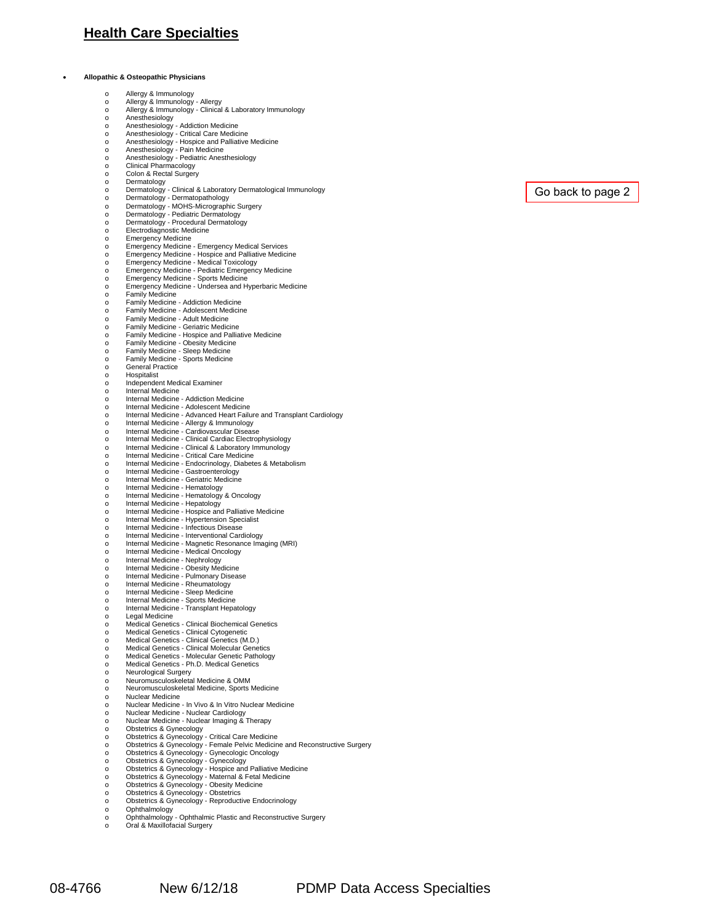### **Health Care Specialties**

• **Allopathic & Osteopathic Physicians**

| $\circ$  | Allergy & Immunology                                                        |
|----------|-----------------------------------------------------------------------------|
| $\Omega$ | Allergy & Immunology - Allergy                                              |
| $\circ$  | Allergy & Immunology - Clinical & Laboratory Immunology                     |
|          | Anesthesiology                                                              |
| $\circ$  |                                                                             |
| $\circ$  | Anesthesiology - Addiction Medicine                                         |
| O        | Anesthesiology - Critical Care Medicine                                     |
| O        | Anesthesiology - Hospice and Palliative Medicine                            |
| $\circ$  | Anesthesiology - Pain Medicine                                              |
| O        | Anesthesiology - Pediatric Anesthesiology                                   |
| $\circ$  | Clinical Pharmacology                                                       |
| $\circ$  | Colon & Rectal Surgery                                                      |
| $\Omega$ | Dermatology                                                                 |
|          | Dermatology - Clinical & Laboratory Dermatological Immunology               |
| $\circ$  |                                                                             |
| $\circ$  | Dermatology - Dermatopathology                                              |
| $\circ$  | Dermatology - MOHS-Micrographic Surgery                                     |
| O        | Dermatology - Pediatric Dermatology                                         |
| $\circ$  | Dermatology - Procedural Dermatology                                        |
| $\circ$  | Electrodiagnostic Medicine                                                  |
|          | <b>Emergency Medicine</b>                                                   |
| $\circ$  | Emergency Medicine - Emergency Medical Services                             |
| $\circ$  | Emergency Medicine - Hospice and Palliative Medicine                        |
| $\Omega$ | Emergency Medicine - Medical Toxicology                                     |
| $\circ$  | Emergency Medicine - Pediatric Emergency Medicine                           |
| $\circ$  | Emergency Medicine - Sports Medicine                                        |
| $\Omega$ | Emergency Medicine - Undersea and Hyperbaric Medicine                       |
| O        | <b>Family Medicine</b>                                                      |
| $\circ$  | Family Medicine - Addiction Medicine                                        |
| $\circ$  | Family Medicine - Adolescent Medicine                                       |
| Ō        | Family Medicine - Adult Medicine                                            |
| $\circ$  | Family Medicine - Geriatric Medicine                                        |
|          |                                                                             |
| $\circ$  | Family Medicine - Hospice and Palliative Medicine                           |
| $\Omega$ | Family Medicine - Obesity Medicine                                          |
| $\circ$  | Family Medicine - Sleep Medicine                                            |
| $\circ$  | Family Medicine - Sports Medicine                                           |
| $\circ$  | General Practice                                                            |
| O        | Hospitalist                                                                 |
| $\circ$  | Independent Medical Examiner                                                |
| $\circ$  | Internal Medicine                                                           |
|          | Internal Medicine - Addiction Medicine                                      |
| $\circ$  | Internal Medicine - Adolescent Medicine                                     |
| $\circ$  | Internal Medicine - Advanced Heart Failure and Transplant Cardiology        |
| O        | Internal Medicine - Allergy & Immunology                                    |
| O        | Internal Medicine - Cardiovascular Disease                                  |
| O        | Internal Medicine - Clinical Cardiac Electrophysiology                      |
| $\Omega$ | Internal Medicine - Clinical & Laboratory Immunology                        |
|          | Internal Medicine - Critical Care Medicine                                  |
| O        |                                                                             |
| O        | Internal Medicine - Endocrinology, Diabetes & Metabolism                    |
| $\circ$  | Internal Medicine - Gastroenterology                                        |
| $\circ$  | Internal Medicine - Geriatric Medicine                                      |
| O        | Internal Medicine - Hematology                                              |
| $\circ$  | Internal Medicine - Hematology & Oncology                                   |
| $\Omega$ | Internal Medicine - Hepatology                                              |
| O        | Internal Medicine - Hospice and Palliative Medicine                         |
| O        | Internal Medicine - Hypertension Specialist                                 |
| $\Omega$ | Internal Medicine - Infectious Disease                                      |
| O        | Internal Medicine - Interventional Cardiology                               |
| o        | Internal Medicine - Magnetic Resonance Imaging (MRI)                        |
| $\circ$  | Internal Medicine - Medical Oncology                                        |
|          | Internal Medicine - Nephrology                                              |
| O        | Internal Medicine - Obesity Medicine                                        |
| $\circ$  | Internal Medicine - Pulmonary Disease                                       |
| O        | Internal Medicine - Rheumatology                                            |
| O        | Internal Medicine - Sleep Medicine                                          |
| O        | Internal Medicine - Sports Medicine                                         |
| O        | Internal Medicine - Transplant Hepatology                                   |
|          |                                                                             |
| O        | Legal Medicine<br>Medical Genetics - Clinical Biochemical Genetics          |
| O        |                                                                             |
| $\circ$  | Medical Genetics - Clinical Cytogenetic                                     |
| O        | Medical Genetics - Clinical Genetics (M.D.)                                 |
| O        | Medical Genetics - Clinical Molecular Genetics                              |
| $\circ$  | Medical Genetics - Molecular Genetic Pathology                              |
| O        | Medical Genetics - Ph.D. Medical Genetics                                   |
| o        | Neurological Surgery                                                        |
| O        | Neuromusculoskeletal Medicine & OMM                                         |
| O        | Neuromusculoskeletal Medicine, Sports Medicine                              |
| O        | Nuclear Medicine                                                            |
| $\circ$  | Nuclear Medicine - In Vivo & In Vitro Nuclear Medicine                      |
| $\circ$  | Nuclear Medicine - Nuclear Cardiology                                       |
| $\circ$  | Nuclear Medicine - Nuclear Imaging & Therapy                                |
| O        | Obstetrics & Gynecology                                                     |
| $\circ$  | Obstetrics & Gynecology - Critical Care Medicine                            |
| $\circ$  | Obstetrics & Gynecology - Female Pelvic Medicine and Reconstructive Surgery |
| $\circ$  | Obstetrics & Gynecology - Gynecologic Oncology                              |
|          | Obstetrics & Gynecology - Gynecology                                        |
| $\circ$  | Obstetrics & Gynecology - Hospice and Palliative Medicine                   |
| O        |                                                                             |
| O        | Obstetrics & Gynecology - Maternal & Fetal Medicine                         |
| $\circ$  | Obstetrics & Gynecology - Obesity Medicine                                  |
| $\circ$  | Obstetrics & Gynecology - Obstetrics                                        |
| $\circ$  | Obstetrics & Gynecology - Reproductive Endocrinology                        |
| O        | Ophthalmology                                                               |
| $\circ$  | Ophthalmology - Ophthalmic Plastic and Reconstructive Surgery               |
| $\circ$  | Oral & Maxillofacial Surgery                                                |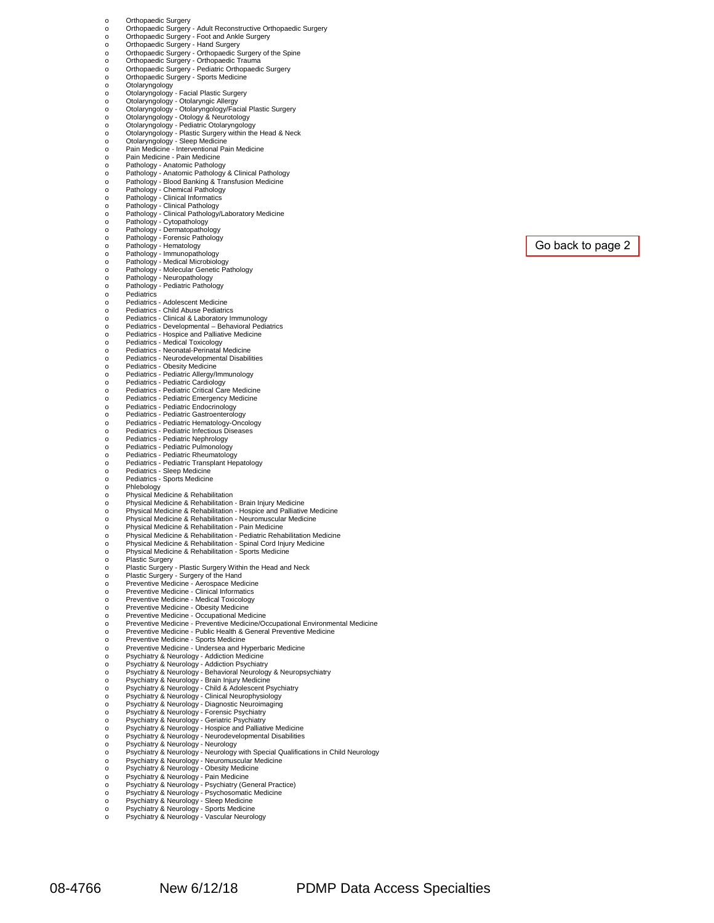| O        | Orthopaedic Surgery                                                                                                                 |
|----------|-------------------------------------------------------------------------------------------------------------------------------------|
| $\circ$  | Orthopaedic Surgery - Adult Reconstructive Orthopaedic Surgery                                                                      |
| O        | Orthopaedic Surgery - Foot and Ankle Surgery                                                                                        |
|          | Orthopaedic Surgery - Hand Surgery                                                                                                  |
| $\circ$  | Orthopaedic Surgery - Orthopaedic Surgery of the Spine                                                                              |
| $\circ$  | Orthopaedic Surgery - Orthopaedic Trauma                                                                                            |
| O        | Orthopaedic Surgery - Pediatric Orthopaedic Surgery                                                                                 |
| O        | Orthopaedic Surgery - Sports Medicine                                                                                               |
| O        | Otolaryngology                                                                                                                      |
| O        | Otolaryngology - Facial Plastic Surgery                                                                                             |
| O        | Otolaryngology - Otolaryngic Allergy                                                                                                |
| O        | Otolaryngology - Otolaryngology/Facial Plastic Surgery                                                                              |
| O        | Otolaryngology - Otology & Neurotology                                                                                              |
| O        | Otolaryngology - Pediatric Otolaryngology                                                                                           |
| o        | Otolaryngology - Plastic Surgery within the Head & Neck                                                                             |
| Ō        | Otolaryngology - Sleep Medicine                                                                                                     |
| O        | Pain Medicine - Interventional Pain Medicine                                                                                        |
| $\circ$  | Pain Medicine - Pain Medicine                                                                                                       |
| O        | Pathology - Anatomic Pathology                                                                                                      |
| O        | Pathology - Anatomic Pathology & Clinical Pathology                                                                                 |
| O        | Pathology - Blood Banking & Transfusion Medicine                                                                                    |
| O        | Pathology - Chemical Pathology                                                                                                      |
| O        | Pathology - Clinical Informatics                                                                                                    |
| O        | Pathology - Clinical Pathology                                                                                                      |
| O        | Pathology - Clinical Pathology/Laboratory Medicine                                                                                  |
| $\circ$  | Pathology - Cytopathology                                                                                                           |
| O        | Pathology - Dermatopathology                                                                                                        |
| O        | Pathology - Forensic Pathology                                                                                                      |
| O        | Pathology - Hematology                                                                                                              |
| O        | Pathology - Immunopathology                                                                                                         |
| O        | Pathology - Medical Microbiology                                                                                                    |
| O        | Pathology - Molecular Genetic Pathology                                                                                             |
| O        | Pathology - Neuropathology                                                                                                          |
| O        | Pathology - Pediatric Pathology                                                                                                     |
| $\circ$  | Pediatrics                                                                                                                          |
| $\circ$  | Pediatrics - Adolescent Medicine                                                                                                    |
| O        | Pediatrics - Child Abuse Pediatrics                                                                                                 |
| $\circ$  | Pediatrics - Clinical & Laboratory Immunology                                                                                       |
| O        | Pediatrics - Developmental - Behavioral Pediatrics                                                                                  |
| $\Omega$ | Pediatrics - Hospice and Palliative Medicine                                                                                        |
| O        | Pediatrics - Medical Toxicology                                                                                                     |
| O        | Pediatrics - Neonatal-Perinatal Medicine                                                                                            |
| $\circ$  | Pediatrics - Neurodevelopmental Disabilities                                                                                        |
| O        | Pediatrics - Obesity Medicine                                                                                                       |
| O        | Pediatrics - Pediatric Allergy/Immunology                                                                                           |
| $\circ$  | Pediatrics - Pediatric Cardiology                                                                                                   |
| O        | Pediatrics - Pediatric Critical Care Medicine                                                                                       |
| O        | Pediatrics - Pediatric Emergency Medicine                                                                                           |
| O        | Pediatrics - Pediatric Endocrinology                                                                                                |
| O        | Pediatrics - Pediatric Gastroenterology                                                                                             |
| O        | Pediatrics - Pediatric Hematology-Oncology                                                                                          |
| O        | Pediatrics - Pediatric Infectious Diseases                                                                                          |
| O        | Pediatrics - Pediatric Nephrology                                                                                                   |
| O        | Pediatrics - Pediatric Pulmonology                                                                                                  |
| O        | Pediatrics - Pediatric Rheumatology                                                                                                 |
| $\circ$  | Pediatrics - Pediatric Transplant Hepatology                                                                                        |
| O        | Pediatrics - Sleep Medicine                                                                                                         |
| O        | Pediatrics - Sports Medicine                                                                                                        |
| O        | Phlebology                                                                                                                          |
| $\Omega$ | Physical Medicine & Rehabilitation                                                                                                  |
| O        | Physical Medicine & Rehabilitation - Brain Injury Medicine                                                                          |
| O        | Physical Medicine & Rehabilitation - Hospice and Palliative Medicine<br>Physical Medicine & Rehabilitation - Neuromuscular Medicine |
| $\circ$  | Physical Medicine & Rehabilitation - Pain Medicine                                                                                  |
| O        | Physical Medicine & Rehabilitation - Pediatric Rehabilitation Medicine                                                              |
| o<br>O   | Physical Medicine & Rehabilitation - Spinal Cord Injury Medicine                                                                    |
| O        | Physical Medicine & Rehabilitation - Sports Medicine                                                                                |
| O        | <b>Plastic Surgery</b>                                                                                                              |
| O        | Plastic Surgery - Plastic Surgery Within the Head and Neck                                                                          |
| $\circ$  | Plastic Surgery - Surgery of the Hand                                                                                               |
| $\circ$  | Preventive Medicine - Aerospace Medicine                                                                                            |
| $\circ$  | Preventive Medicine - Clinical Informatics                                                                                          |
| $\circ$  | Preventive Medicine - Medical Toxicology                                                                                            |
| O        | Preventive Medicine - Obesity Medicine                                                                                              |
| O        | Preventive Medicine - Occupational Medicine                                                                                         |
| Ō        | Preventive Medicine - Preventive Medicine/Occupational Environmental Medicine                                                       |
| O        | Preventive Medicine - Public Health & General Preventive Medicine                                                                   |
| O        | Preventive Medicine - Sports Medicine                                                                                               |
| O        | Preventive Medicine - Undersea and Hyperbaric Medicine                                                                              |
| O        | Psychiatry & Neurology - Addiction Medicine                                                                                         |
| O        | Psychiatry & Neurology - Addiction Psychiatry                                                                                       |
| O        | Psychiatry & Neurology - Behavioral Neurology & Neuropsychiatry                                                                     |
| $\circ$  | Psychiatry & Neurology - Brain Injury Medicine                                                                                      |
| O        | Psychiatry & Neurology - Child & Adolescent Psychiatry                                                                              |
| O        | Psychiatry & Neurology - Clinical Neurophysiology                                                                                   |
| $\circ$  | Psychiatry & Neurology - Diagnostic Neuroimaging                                                                                    |
| O        | Psychiatry & Neurology - Forensic Psychiatry                                                                                        |
| O        | Psychiatry & Neurology - Geriatric Psychiatry                                                                                       |
| O        | Psychiatry & Neurology - Hospice and Palliative Medicine                                                                            |
| $\circ$  | Psychiatry & Neurology - Neurodevelopmental Disabilities                                                                            |
| O        | Psychiatry & Neurology - Neurology                                                                                                  |
| O        | Psychiatry & Neurology - Neurology with Special Qualifications in Child Neurology                                                   |
| O        | Psychiatry & Neurology - Neuromuscular Medicine                                                                                     |
| O        | Psychiatry & Neurology - Obesity Medicine                                                                                           |
| $\circ$  | Psychiatry & Neurology - Pain Medicine                                                                                              |
| O        | Psychiatry & Neurology - Psychiatry (General Practice)                                                                              |
| O        | Psychiatry & Neurology - Psychosomatic Medicine                                                                                     |
| $\circ$  | Psychiatry & Neurology - Sleep Medicine<br>Psychiatry & Neurology - Sports Medicine                                                 |
|          |                                                                                                                                     |

o Psychiatry & Neurology - Sports Medicine o Psychiatry & Neurology - Vascular Neurology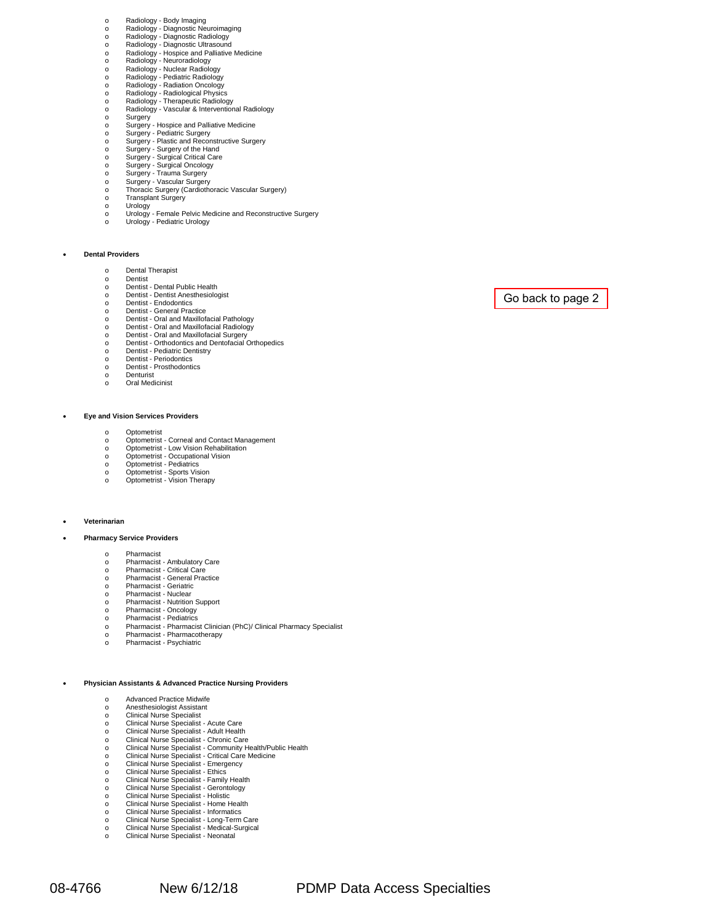- 
- 
- 
- o Radiology Body Imaging<br>
o Radiology Diagnostic Neuroimaging<br>
o Radiology Diagnostic Radiology<br>
Radiology Hospice and Palliative Medicine<br>
o Radiology Hospice and Palliative Medicine<br>
o Radiology Neuroradiolo
- 
- 
- 
- 
- 
- o Radiology Therapeutic Radiology o Radiology Vascular & Interventional Radiology
- 
- 
- o Surgery<br>o Surgery Hospice and Palliative Medicine<br>o Surgery Plastic and Reconstructive Surgery<br>o Surgery Plastic and Reconstructive Surgery
- 
- o Surgery Surgery of the Hand o Surgery Surgical Critical Care
- o Surgery Surgical Oncology o Surgery Trauma Surgery
- 
- o Surgery Vascular Surgery<br>
o Thoracic Surgery (Cardioth o Thoracic Surgery (Cardiothoracic Vascular Surgery)
- 
- o Transplant Surgery<br>o Urology<br>o Urology Female Pelvic Medicine and Reconstructive Surgery<br>o Urology Pediatric Urology
- 

#### • **Dental Providers**

- o Dental Therapist<br>o Dentist
- o Dentist
- o Dentist Dental Public Health<br>
o Dentist Dentist Anesthesiolo
- o Dentist Dentist Anesthesiologist o Dentist Endodontics
- 
- o Dentist General Practice<br>
o Dentist Oral and Maxillof
- o Dentist Oral and Maxillofacial Pathology o Dentist Oral and Maxillofacial Radiology
- o Dentist Oral and Maxillofacial Surgery o Dentist Orthodontics and Dentofacial Orthopedics
- 
- o Dentist Pediatric Dentistry<br>
o Dentist Periodontics
- o Dentist Periodontics o Dentist Prosthodontics
- o Denturist
- o Oral Medicinist

#### • **Eye and Vision Services Providers**

- 
- o Optometrist o Optometrist - Corneal and Contact Management
- o Optometrist Low Vision Rehabilitation o Optometrist Occupational Vision
- 
- o Optometrist Pediatrics<br>
Optometrist Sports Vis
- o Optometrist Sports Vision<br>Optometrist Vision Theran o Optometrist - Vision Therapy

#### • **Veterinarian**

• **Pharmacy Service Providers**

#### o Pharmacist

- o Pharmacist Ambulatory Care o Pharmacist Critical Care
- 
- o Pharmacist General Practice<br>
Pharmacist Geriatric
- o Pharmacist Geriatric<br>
o Pharmacist Nuclear
- o Pharmacist Nuclear<br>
o Pharmacist Nutrition o Pharmacist - Nutrition Support<br>
o Pharmacist - Oncology
- o Pharmacist Oncology<br>
o Pharmacist Pediatrics
- o Pharmacist Pediatrics
- o Pharmacist Pharmacist Clinician (PhC)/ Clinical Pharmacy Specialist
- o Pharmacist Pharmacotherapy<br>
o Pharmacist Psychiatric
- Pharmacist Psychiatric

#### • **Physician Assistants & Advanced Practice Nursing Providers**

- o Advanced Practice Midwife<br>
o Anesthesiologist Assistant
- o Anesthesiologist Assistant o Clinical Nurse Specialist
- 
- o Clinical Nurse Specialist Acute Care<br>
o Clinical Nurse Specialist Adult Health
- o Clinical Nurse Specialist Adult Health o Clinical Nurse Specialist Chronic Care
- o Clinical Nurse Specialist Community Health/Public Health<br>Clinical Nurse Specialist Critical Care Medicine
- o Clinical Nurse Specialist Critical Care Medicine o Clinical Nurse Specialist Emergency
- 
- o Clinical Nurse Specialist Ethics<br>Clinical Nurse Specialist Family
- o Clinical Nurse Specialist Family Health<br>Clinical Nurse Specialist Gerontology o Clinical Nurse Specialist - Gerontology<br>Clinical Nurse Specialist - Holistic
- 
- o Clinical Nurse Specialist Holistic<br>
o Clinical Nurse Specialist Home H o Clinical Nurse Specialist - Home Health<br>
o Clinical Nurse Specialist - Informatics
- o Clinical Nurse Specialist Informatics
- o Clinical Nurse Specialist Long-Term Care o Clinical Nurse Specialist Medical-Surgical
- 
- o Clinical Nurse Specialist Neonatal